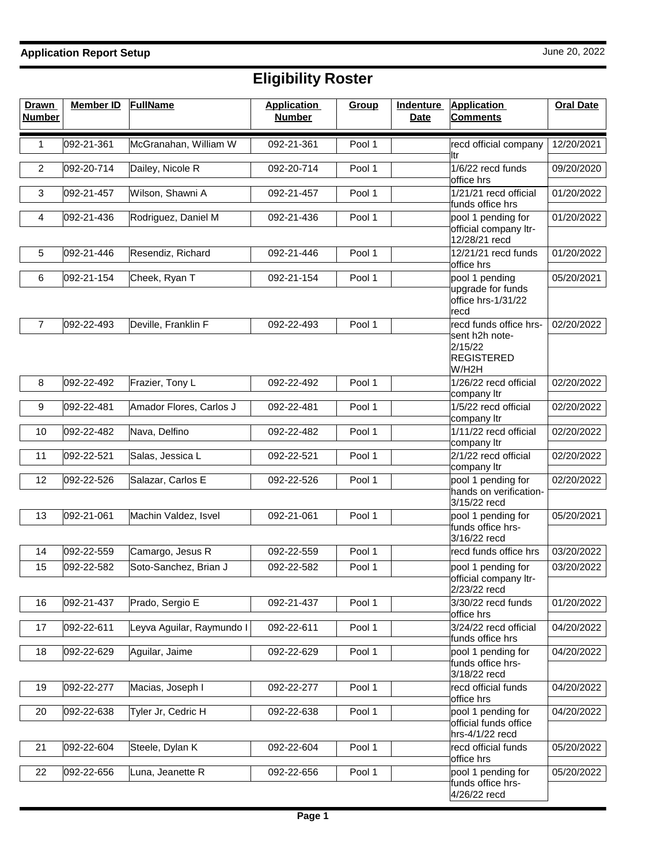| <b>Drawn</b><br><b>Number</b> | <b>Member ID</b> | <b>FullName</b>           | <b>Application</b><br><b>Number</b> | Group  | <b>Indenture</b><br><b>Date</b> | <b>Application</b><br><b>Comments</b>                                             | <b>Oral Date</b> |
|-------------------------------|------------------|---------------------------|-------------------------------------|--------|---------------------------------|-----------------------------------------------------------------------------------|------------------|
| 1                             | 092-21-361       | McGranahan, William W     | 092-21-361                          | Pool 1 |                                 | recd official company<br>ltr                                                      | 12/20/2021       |
| $\overline{2}$                | 092-20-714       | Dailey, Nicole R          | 092-20-714                          | Pool 1 |                                 | 1/6/22 recd funds<br>office hrs                                                   | 09/20/2020       |
| 3                             | 092-21-457       | Wilson, Shawni A          | 092-21-457                          | Pool 1 |                                 | 1/21/21 recd official<br>funds office hrs                                         | 01/20/2022       |
| 4                             | 092-21-436       | Rodriguez, Daniel M       | 092-21-436                          | Pool 1 |                                 | pool 1 pending for<br>official company ltr-<br>12/28/21 recd                      | 01/20/2022       |
| 5                             | 092-21-446       | Resendiz, Richard         | 092-21-446                          | Pool 1 |                                 | 12/21/21 recd funds<br>office hrs                                                 | 01/20/2022       |
| 6                             | 092-21-154       | Cheek, Ryan T             | 092-21-154                          | Pool 1 |                                 | pool 1 pending<br>upgrade for funds<br>office hrs-1/31/22<br>recd                 | 05/20/2021       |
| $\overline{7}$                | 092-22-493       | Deville, Franklin F       | 092-22-493                          | Pool 1 |                                 | recd funds office hrs-<br>sent h2h note-<br>2/15/22<br><b>REGISTERED</b><br>W/H2H | 02/20/2022       |
| 8                             | 092-22-492       | Frazier, Tony L           | 092-22-492                          | Pool 1 |                                 | 1/26/22 recd official                                                             | 02/20/2022       |
| 9                             | 092-22-481       | Amador Flores, Carlos J   | 092-22-481                          | Pool 1 |                                 | company Itr<br>1/5/22 recd official<br>company Itr                                | 02/20/2022       |
| 10                            | 092-22-482       | Nava, Delfino             | 092-22-482                          | Pool 1 |                                 | 1/11/22 recd official<br>company Itr                                              | 02/20/2022       |
| 11                            | 092-22-521       | Salas, Jessica L          | 092-22-521                          | Pool 1 |                                 | 2/1/22 recd official<br>company Itr                                               | 02/20/2022       |
| 12                            | 092-22-526       | Salazar, Carlos E         | 092-22-526                          | Pool 1 |                                 | pool 1 pending for<br>hands on verification-<br>3/15/22 recd                      | 02/20/2022       |
| 13                            | 092-21-061       | Machin Valdez, Isvel      | 092-21-061                          | Pool 1 |                                 | pool 1 pending for<br>funds office hrs-                                           | 05/20/2021       |
| 14                            | 092-22-559       | Camargo, Jesus R          | 092-22-559                          | Pool 1 |                                 | 3/16/22 recd<br>recd funds office hrs                                             | 03/20/2022       |
| 15                            | 092-22-582       | Soto-Sanchez, Brian J     | 092-22-582                          | Pool 1 |                                 | pool 1 pending for<br>official company Itr-                                       | 03/20/2022       |
|                               |                  | Prado, Sergio E           |                                     |        |                                 | 2/23/22 recd<br>3/30/22 recd funds                                                |                  |
| 16                            | 092-21-437       |                           | 092-21-437                          | Pool 1 |                                 | office hrs                                                                        | 01/20/2022       |
| 17                            | 092-22-611       | Leyva Aguilar, Raymundo I | 092-22-611                          | Pool 1 |                                 | 3/24/22 recd official<br>funds office hrs                                         | 04/20/2022       |
| 18                            | 092-22-629       | Aguilar, Jaime            | 092-22-629                          | Pool 1 |                                 | pool 1 pending for<br>funds office hrs-<br>3/18/22 recd                           | 04/20/2022       |
| 19                            | 092-22-277       | Macias, Joseph I          | 092-22-277                          | Pool 1 |                                 | recd official funds<br>office hrs                                                 | 04/20/2022       |
| 20                            | 092-22-638       | Tyler Jr, Cedric H        | 092-22-638                          | Pool 1 |                                 | pool 1 pending for<br>official funds office<br>hrs-4/1/22 recd                    | 04/20/2022       |
| 21                            | 092-22-604       | Steele, Dylan K           | 092-22-604                          | Pool 1 |                                 | recd official funds<br>office hrs                                                 | 05/20/2022       |
| 22                            | 092-22-656       | Luna, Jeanette R          | 092-22-656                          | Pool 1 |                                 | pool 1 pending for<br>funds office hrs-<br>4/26/22 recd                           | 05/20/2022       |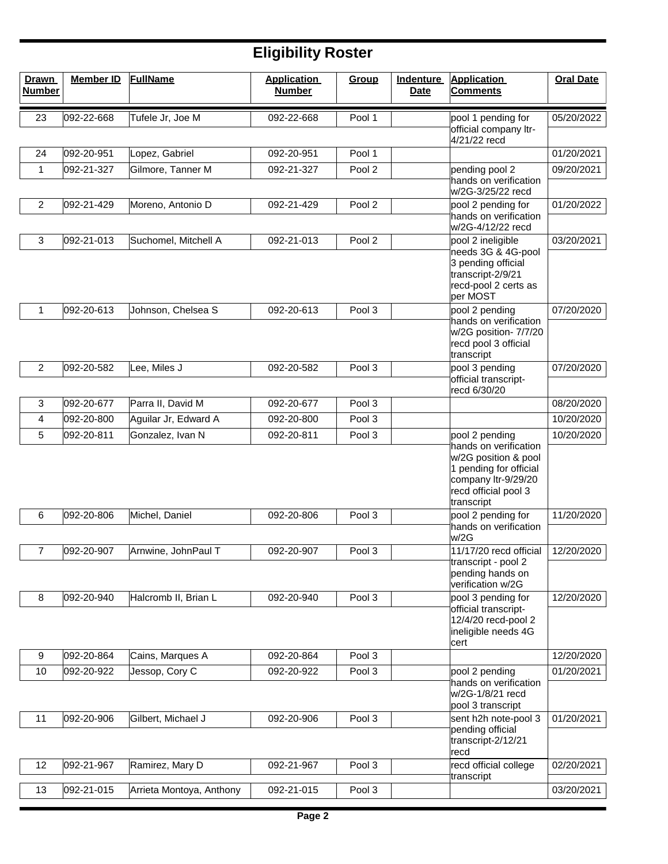| <b>Drawn</b><br><b>Number</b> | <b>Member ID</b> | <b>FullName</b>          | <b>Application</b><br><b>Number</b> | Group             | <b>Indenture</b><br><b>Date</b> | <b>Application</b><br><b>Comments</b>                                                                                                                  | <b>Oral Date</b> |
|-------------------------------|------------------|--------------------------|-------------------------------------|-------------------|---------------------------------|--------------------------------------------------------------------------------------------------------------------------------------------------------|------------------|
| 23                            | 092-22-668       | Tufele Jr, Joe M         | 092-22-668                          | Pool 1            |                                 | pool 1 pending for                                                                                                                                     | 05/20/2022       |
|                               |                  |                          |                                     |                   |                                 | official company ltr-<br>4/21/22 recd                                                                                                                  |                  |
| 24                            | 092-20-951       | Lopez, Gabriel           | 092-20-951                          | Pool 1            |                                 |                                                                                                                                                        | 01/20/2021       |
| 1                             | 092-21-327       | Gilmore, Tanner M        | 092-21-327                          | Pool 2            |                                 | pending pool 2                                                                                                                                         | 09/20/2021       |
|                               |                  |                          |                                     |                   |                                 | hands on verification<br>w/2G-3/25/22 recd                                                                                                             |                  |
| $\overline{c}$                | 092-21-429       | Moreno, Antonio D        | 092-21-429                          | Pool 2            |                                 | pool 2 pending for<br>hands on verification<br>w/2G-4/12/22 recd                                                                                       | 01/20/2022       |
| 3                             | 092-21-013       | Suchomel, Mitchell A     | 092-21-013                          | Pool 2            |                                 | pool 2 ineligible                                                                                                                                      | 03/20/2021       |
|                               |                  |                          |                                     |                   |                                 | needs 3G & 4G-pool<br>3 pending official<br>transcript-2/9/21<br>recd-pool 2 certs as<br>per MOST                                                      |                  |
| 1                             | 092-20-613       | Johnson, Chelsea S       | 092-20-613                          | Pool 3            |                                 | pool 2 pending                                                                                                                                         | 07/20/2020       |
|                               |                  |                          |                                     |                   |                                 | hands on verification<br>w/2G position- 7/7/20<br>recd pool 3 official<br>transcript                                                                   |                  |
| 2                             | 092-20-582       | Lee, Miles J             | 092-20-582                          | Pool <sub>3</sub> |                                 | pool 3 pending                                                                                                                                         | 07/20/2020       |
|                               |                  |                          |                                     |                   |                                 | official transcript-<br>recd 6/30/20                                                                                                                   |                  |
| 3                             | 092-20-677       | Parra II, David M        | 092-20-677                          | Pool <sub>3</sub> |                                 |                                                                                                                                                        | 08/20/2020       |
| 4                             | 092-20-800       | Aguilar Jr, Edward A     | 092-20-800                          | Pool 3            |                                 |                                                                                                                                                        | 10/20/2020       |
| 5                             | 092-20-811       | Gonzalez, Ivan N         | 092-20-811                          | Pool 3            |                                 | pool 2 pending<br>hands on verification<br>w/2G position & pool<br>1 pending for official<br>company ltr-9/29/20<br>recd official pool 3<br>transcript | 10/20/2020       |
| 6                             | 092-20-806       | Michel, Daniel           | 092-20-806                          | Pool 3            |                                 | pool 2 pending for                                                                                                                                     | 11/20/2020       |
|                               |                  |                          |                                     |                   |                                 | hands on verification<br>w/2G                                                                                                                          |                  |
| $\overline{7}$                | 092-20-907       | Arnwine, JohnPaul T      | 092-20-907                          | Pool <sub>3</sub> |                                 | 11/17/20 recd official                                                                                                                                 | 12/20/2020       |
|                               |                  |                          |                                     |                   |                                 | transcript - pool 2<br>pending hands on<br>verification w/2G                                                                                           |                  |
| 8                             | 092-20-940       | Halcromb II, Brian L     | 092-20-940                          | Pool 3            |                                 | pool 3 pending for                                                                                                                                     | 12/20/2020       |
|                               |                  |                          |                                     |                   |                                 | official transcript-<br>12/4/20 recd-pool 2<br>ineligible needs 4G<br>cert                                                                             |                  |
| 9                             | 092-20-864       | Cains, Marques A         | 092-20-864                          | Pool 3            |                                 |                                                                                                                                                        | 12/20/2020       |
| 10                            | 092-20-922       | Jessop, Cory C           | 092-20-922                          | Pool 3            |                                 | pool 2 pending                                                                                                                                         | 01/20/2021       |
|                               |                  |                          |                                     |                   |                                 | hands on verification<br>w/2G-1/8/21 recd<br>pool 3 transcript                                                                                         |                  |
| 11                            | 092-20-906       | Gilbert, Michael J       | 092-20-906                          | Pool 3            |                                 | sent h2h note-pool 3<br>pending official                                                                                                               | 01/20/2021       |
|                               |                  |                          |                                     |                   |                                 | transcript-2/12/21<br>recd                                                                                                                             |                  |
| 12                            | 092-21-967       | Ramirez, Mary D          | 092-21-967                          | Pool 3            |                                 | recd official college<br>transcript                                                                                                                    | 02/20/2021       |
| 13                            | 092-21-015       | Arrieta Montoya, Anthony | 092-21-015                          | Pool 3            |                                 |                                                                                                                                                        | 03/20/2021       |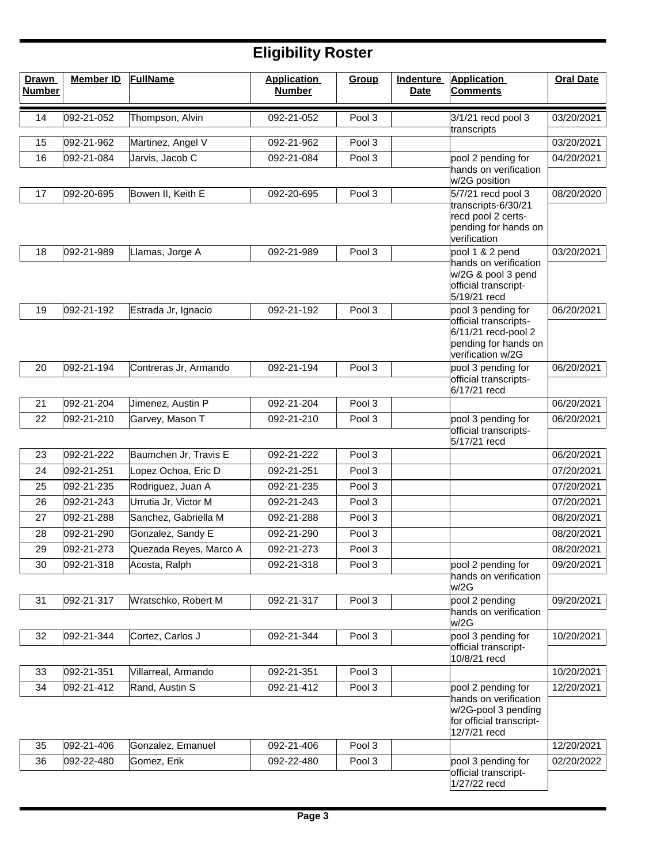| <b>Drawn</b><br><b>Number</b> | <b>Member ID</b> | <b>FullName</b>        | <b>Application</b><br><b>Number</b> | Group  | <b>Indenture</b><br><b>Date</b> | <b>Application</b><br><b>Comments</b>        | <b>Oral Date</b> |
|-------------------------------|------------------|------------------------|-------------------------------------|--------|---------------------------------|----------------------------------------------|------------------|
| 14                            | 092-21-052       | Thompson, Alvin        | 092-21-052                          | Pool 3 |                                 | 3/1/21 recd pool 3                           | 03/20/2021       |
|                               |                  |                        |                                     |        |                                 | transcripts                                  |                  |
| 15                            | 092-21-962       | Martinez, Angel V      | 092-21-962                          | Pool 3 |                                 |                                              | 03/20/2021       |
| 16                            | 092-21-084       | Jarvis, Jacob C        | 092-21-084                          | Pool 3 |                                 | pool 2 pending for<br>hands on verification  | 04/20/2021       |
|                               |                  |                        |                                     |        |                                 | w/2G position                                |                  |
| 17                            | 092-20-695       | Bowen II, Keith E      | 092-20-695                          | Pool 3 |                                 | 5/7/21 recd pool 3                           | 08/20/2020       |
|                               |                  |                        |                                     |        |                                 | transcripts-6/30/21<br>recd pool 2 certs-    |                  |
|                               |                  |                        |                                     |        |                                 | pending for hands on                         |                  |
| 18                            | 092-21-989       | Llamas, Jorge A        | 092-21-989                          | Pool 3 |                                 | verification<br>pool 1 & 2 pend              | 03/20/2021       |
|                               |                  |                        |                                     |        |                                 | hands on verification                        |                  |
|                               |                  |                        |                                     |        |                                 | w/2G & pool 3 pend                           |                  |
|                               |                  |                        |                                     |        |                                 | official transcript-<br>5/19/21 recd         |                  |
| 19                            | 092-21-192       | Estrada Jr, Ignacio    | 092-21-192                          | Pool 3 |                                 | pool 3 pending for                           | 06/20/2021       |
|                               |                  |                        |                                     |        |                                 | official transcripts-<br>6/11/21 recd-pool 2 |                  |
|                               |                  |                        |                                     |        |                                 | pending for hands on                         |                  |
|                               | 092-21-194       | Contreras Jr, Armando  |                                     | Pool 3 |                                 | verification w/2G<br>pool 3 pending for      | 06/20/2021       |
| 20                            |                  |                        | 092-21-194                          |        |                                 | official transcripts-                        |                  |
|                               |                  |                        |                                     |        |                                 | 6/17/21 recd                                 |                  |
| 21                            | 092-21-204       | Jimenez, Austin P      | 092-21-204                          | Pool 3 |                                 |                                              | 06/20/2021       |
| 22                            | 092-21-210       | Garvey, Mason T        | 092-21-210                          | Pool 3 |                                 | pool 3 pending for<br>official transcripts-  | 06/20/2021       |
|                               |                  |                        |                                     |        |                                 | 5/17/21 recd                                 |                  |
| 23                            | 092-21-222       | Baumchen Jr, Travis E  | 092-21-222                          | Pool 3 |                                 |                                              | 06/20/2021       |
| 24                            | 092-21-251       | Lopez Ochoa, Eric D    | 092-21-251                          | Pool 3 |                                 |                                              | 07/20/2021       |
| 25                            | 092-21-235       | Rodriguez, Juan A      | 092-21-235                          | Pool 3 |                                 |                                              | 07/20/2021       |
| 26                            | 092-21-243       | Urrutia Jr, Victor M   | 092-21-243                          | Pool 3 |                                 |                                              | 07/20/2021       |
| 27                            | 092-21-288       | Sanchez, Gabriella M   | 092-21-288                          | Pool 3 |                                 |                                              | 08/20/2021       |
| 28                            | 092-21-290       | Gonzalez, Sandy E      | 092-21-290                          | Pool 3 |                                 |                                              | 08/20/2021       |
| 29                            | 092-21-273       | Quezada Reyes, Marco A | 092-21-273                          | Pool 3 |                                 |                                              | 08/20/2021       |
| 30                            | 092-21-318       | Acosta, Ralph          | 092-21-318                          | Pool 3 |                                 | pool 2 pending for<br>hands on verification  | 09/20/2021       |
|                               |                  |                        |                                     |        |                                 | w/2G                                         |                  |
| 31                            | 092-21-317       | Wratschko, Robert M    | 092-21-317                          | Pool 3 |                                 | pool 2 pending<br>hands on verification      | 09/20/2021       |
|                               |                  |                        |                                     |        |                                 | w/2G                                         |                  |
| 32                            | 092-21-344       | Cortez, Carlos J       | 092-21-344                          | Pool 3 |                                 | pool 3 pending for                           | 10/20/2021       |
|                               |                  |                        |                                     |        |                                 | official transcript-<br>10/8/21 recd         |                  |
| 33                            | 092-21-351       | Villarreal, Armando    | 092-21-351                          | Pool 3 |                                 |                                              | 10/20/2021       |
| 34                            | 092-21-412       | Rand, Austin S         | 092-21-412                          | Pool 3 |                                 | pool 2 pending for                           | 12/20/2021       |
|                               |                  |                        |                                     |        |                                 | hands on verification<br>w/2G-pool 3 pending |                  |
|                               |                  |                        |                                     |        |                                 | for official transcript-                     |                  |
|                               |                  |                        |                                     |        |                                 | 12/7/21 recd                                 |                  |
| 35                            | 092-21-406       | Gonzalez, Emanuel      | 092-21-406                          | Pool 3 |                                 |                                              | 12/20/2021       |
| 36                            | 092-22-480       | Gomez, Erik            | 092-22-480                          | Pool 3 |                                 | pool 3 pending for<br>official transcript-   | 02/20/2022       |
|                               |                  |                        |                                     |        |                                 | 1/27/22 recd                                 |                  |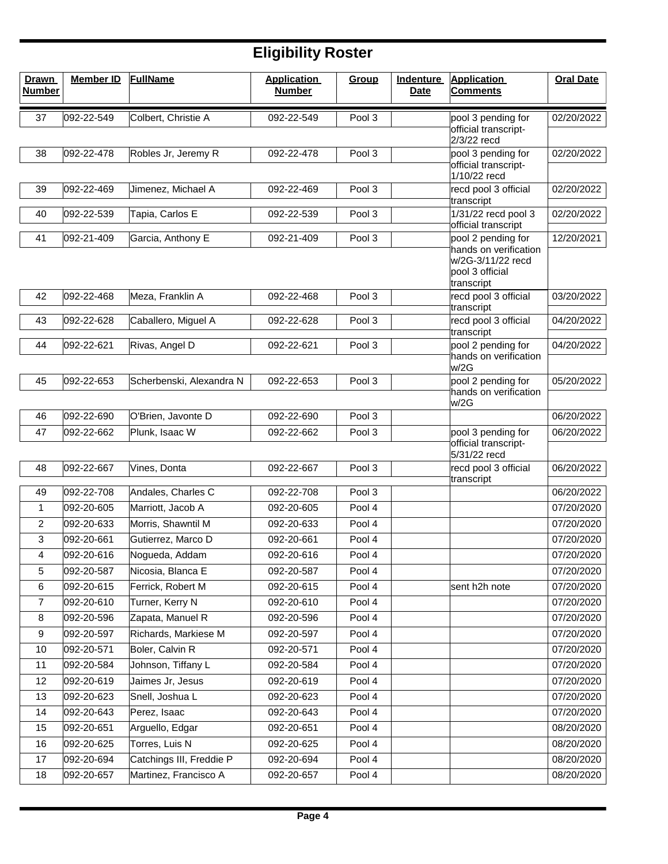| <b>Drawn</b><br><b>Number</b> | <b>Member ID</b> | <b>FullName</b>          | <b>Application</b><br><b>Number</b> | Group  | <b>Indenture</b><br><b>Date</b> | <b>Application</b><br><b>Comments</b>                                       | <b>Oral Date</b> |
|-------------------------------|------------------|--------------------------|-------------------------------------|--------|---------------------------------|-----------------------------------------------------------------------------|------------------|
| 37                            | 092-22-549       | Colbert, Christie A      | 092-22-549                          | Pool 3 |                                 | pool 3 pending for                                                          | 02/20/2022       |
|                               |                  |                          |                                     |        |                                 | official transcript-<br>2/3/22 recd                                         |                  |
| 38                            | 092-22-478       | Robles Jr, Jeremy R      | 092-22-478                          | Pool 3 |                                 | pool 3 pending for                                                          | 02/20/2022       |
|                               |                  |                          |                                     |        |                                 | official transcript-<br>1/10/22 recd                                        |                  |
| 39                            | 092-22-469       | Jimenez, Michael A       | 092-22-469                          | Pool 3 |                                 | recd pool 3 official<br>transcript                                          | 02/20/2022       |
| 40                            | 092-22-539       | Tapia, Carlos E          | 092-22-539                          | Pool 3 |                                 | 1/31/22 recd pool 3<br>official transcript                                  | 02/20/2022       |
| 41                            | 092-21-409       | Garcia, Anthony E        | 092-21-409                          | Pool 3 |                                 | pool 2 pending for                                                          | 12/20/2021       |
|                               |                  |                          |                                     |        |                                 | hands on verification<br>w/2G-3/11/22 recd<br>pool 3 official<br>transcript |                  |
| 42                            | 092-22-468       | Meza, Franklin A         | 092-22-468                          | Pool 3 |                                 | recd pool 3 official<br>transcript                                          | 03/20/2022       |
| 43                            | 092-22-628       | Caballero, Miguel A      | 092-22-628                          | Pool 3 |                                 | recd pool 3 official<br>transcript                                          | 04/20/2022       |
| 44                            | 092-22-621       | Rivas, Angel D           | 092-22-621                          | Pool 3 |                                 | pool 2 pending for<br>hands on verification<br>w/2G                         | 04/20/2022       |
| 45                            | 092-22-653       | Scherbenski, Alexandra N | 092-22-653                          | Pool 3 |                                 | pool 2 pending for                                                          | 05/20/2022       |
|                               |                  |                          |                                     |        |                                 | hands on verification<br>w/2G                                               |                  |
| 46                            | 092-22-690       | O'Brien, Javonte D       | 092-22-690                          | Pool 3 |                                 |                                                                             | 06/20/2022       |
| 47                            | 092-22-662       | Plunk, Isaac W           | 092-22-662                          | Pool 3 |                                 | pool 3 pending for<br>official transcript-                                  | 06/20/2022       |
|                               |                  |                          |                                     |        |                                 | 5/31/22 recd                                                                |                  |
| 48                            | 092-22-667       | Vines, Donta             | 092-22-667                          | Pool 3 |                                 | recd pool 3 official<br>transcript                                          | 06/20/2022       |
| 49                            | 092-22-708       | Andales, Charles C       | 092-22-708                          | Pool 3 |                                 |                                                                             | 06/20/2022       |
| 1                             | 092-20-605       | Marriott, Jacob A        | 092-20-605                          | Pool 4 |                                 |                                                                             | 07/20/2020       |
| 2                             | 092-20-633       | Morris, Shawntil M       | 092-20-633                          | Pool 4 |                                 |                                                                             | 07/20/2020       |
| 3                             | 092-20-661       | Gutierrez, Marco D       | 092-20-661                          | Pool 4 |                                 |                                                                             | 07/20/2020       |
| 4                             | 092-20-616       | Nogueda, Addam           | 092-20-616                          | Pool 4 |                                 |                                                                             | 07/20/2020       |
| 5                             | 092-20-587       | Nicosia, Blanca E        | 092-20-587                          | Pool 4 |                                 |                                                                             | 07/20/2020       |
| 6                             | 092-20-615       | Ferrick, Robert M        | 092-20-615                          | Pool 4 |                                 | sent h2h note                                                               | 07/20/2020       |
| $\overline{7}$                | 092-20-610       | Turner, Kerry N          | 092-20-610                          | Pool 4 |                                 |                                                                             | 07/20/2020       |
| 8                             | 092-20-596       | Zapata, Manuel R         | 092-20-596                          | Pool 4 |                                 |                                                                             | 07/20/2020       |
| 9                             | 092-20-597       | Richards, Markiese M     | 092-20-597                          | Pool 4 |                                 |                                                                             | 07/20/2020       |
| 10                            | 092-20-571       | Boler, Calvin R          | 092-20-571                          | Pool 4 |                                 |                                                                             | 07/20/2020       |
| 11                            | 092-20-584       | Johnson, Tiffany L       | 092-20-584                          | Pool 4 |                                 |                                                                             | 07/20/2020       |
| 12                            | 092-20-619       | Jaimes Jr, Jesus         | 092-20-619                          | Pool 4 |                                 |                                                                             | 07/20/2020       |
| 13                            | 092-20-623       | Snell, Joshua L          | 092-20-623                          | Pool 4 |                                 |                                                                             | 07/20/2020       |
| 14                            | 092-20-643       | Perez, Isaac             | 092-20-643                          | Pool 4 |                                 |                                                                             | 07/20/2020       |
| 15                            | 092-20-651       | Arguello, Edgar          | 092-20-651                          | Pool 4 |                                 |                                                                             | 08/20/2020       |
| 16                            | 092-20-625       | Torres, Luis N           | 092-20-625                          | Pool 4 |                                 |                                                                             | 08/20/2020       |
| 17                            | 092-20-694       | Catchings III, Freddie P | 092-20-694                          | Pool 4 |                                 |                                                                             | 08/20/2020       |
| 18                            | 092-20-657       | Martinez, Francisco A    | 092-20-657                          | Pool 4 |                                 |                                                                             | 08/20/2020       |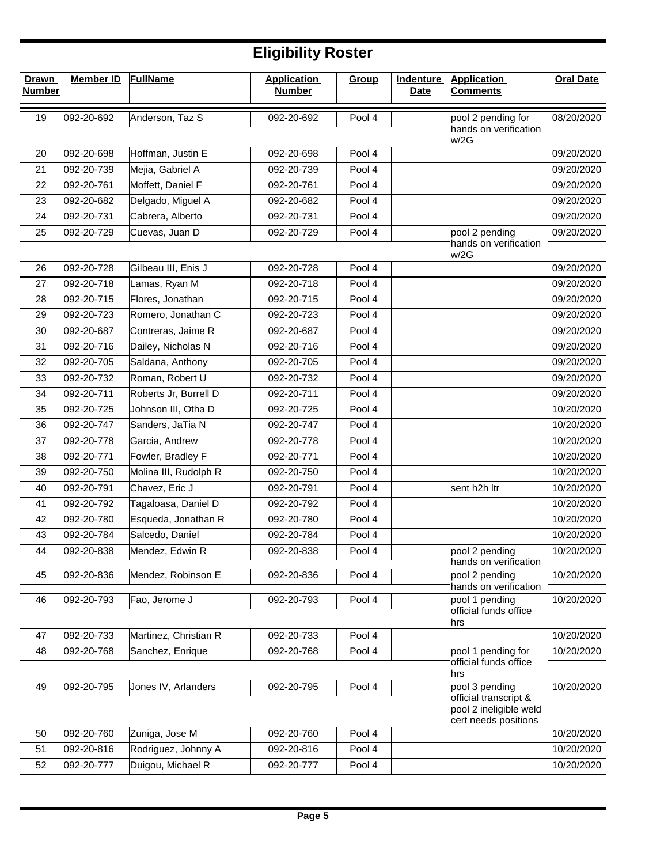| <b>Drawn</b><br><b>Number</b> | <b>Member ID</b> | <b>FullName</b>       | <b>Application</b><br><b>Number</b> | Group  | Indenture<br><b>Date</b> | <b>Application</b><br><b>Comments</b>                                   | <b>Oral Date</b> |
|-------------------------------|------------------|-----------------------|-------------------------------------|--------|--------------------------|-------------------------------------------------------------------------|------------------|
| 19                            | 092-20-692       | Anderson, Taz S       | 092-20-692                          | Pool 4 |                          | pool 2 pending for<br>hands on verification<br>w/2G                     | 08/20/2020       |
| 20                            | 092-20-698       | Hoffman, Justin E     | 092-20-698                          | Pool 4 |                          |                                                                         | 09/20/2020       |
| 21                            | 092-20-739       | Mejia, Gabriel A      | 092-20-739                          | Pool 4 |                          |                                                                         | 09/20/2020       |
| 22                            | 092-20-761       | Moffett, Daniel F     | 092-20-761                          | Pool 4 |                          |                                                                         | 09/20/2020       |
| 23                            | 092-20-682       | Delgado, Miguel A     | 092-20-682                          | Pool 4 |                          |                                                                         | 09/20/2020       |
| 24                            | 092-20-731       | Cabrera, Alberto      | 092-20-731                          | Pool 4 |                          |                                                                         | 09/20/2020       |
| 25                            | 092-20-729       | Cuevas, Juan D        | 092-20-729                          | Pool 4 |                          | pool 2 pending                                                          | 09/20/2020       |
|                               |                  |                       |                                     |        |                          | hands on verification<br>w/2G                                           |                  |
| 26                            | 092-20-728       | Gilbeau III, Enis J   | 092-20-728                          | Pool 4 |                          |                                                                         | 09/20/2020       |
| 27                            | 092-20-718       | Lamas, Ryan M         | 092-20-718                          | Pool 4 |                          |                                                                         | 09/20/2020       |
| 28                            | 092-20-715       | Flores, Jonathan      | 092-20-715                          | Pool 4 |                          |                                                                         | 09/20/2020       |
| 29                            | 092-20-723       | Romero, Jonathan C    | 092-20-723                          | Pool 4 |                          |                                                                         | 09/20/2020       |
| 30                            | 092-20-687       | Contreras, Jaime R    | 092-20-687                          | Pool 4 |                          |                                                                         | 09/20/2020       |
| 31                            | 092-20-716       | Dailey, Nicholas N    | 092-20-716                          | Pool 4 |                          |                                                                         | 09/20/2020       |
| 32                            | 092-20-705       | Saldana, Anthony      | 092-20-705                          | Pool 4 |                          |                                                                         | 09/20/2020       |
| 33                            | 092-20-732       | Roman, Robert U       | 092-20-732                          | Pool 4 |                          |                                                                         | 09/20/2020       |
| 34                            | 092-20-711       | Roberts Jr, Burrell D | 092-20-711                          | Pool 4 |                          |                                                                         | 09/20/2020       |
| 35                            | 092-20-725       | Johnson III, Otha D   | 092-20-725                          | Pool 4 |                          |                                                                         | 10/20/2020       |
| 36                            | 092-20-747       | Sanders, JaTia N      | 092-20-747                          | Pool 4 |                          |                                                                         | 10/20/2020       |
| 37                            | 092-20-778       | Garcia, Andrew        | 092-20-778                          | Pool 4 |                          |                                                                         | 10/20/2020       |
| 38                            | 092-20-771       | Fowler, Bradley F     | 092-20-771                          | Pool 4 |                          |                                                                         | 10/20/2020       |
| 39                            | 092-20-750       | Molina III, Rudolph R | 092-20-750                          | Pool 4 |                          |                                                                         | 10/20/2020       |
| 40                            | 092-20-791       | Chavez, Eric J        | 092-20-791                          | Pool 4 |                          | sent h2h Itr                                                            | 10/20/2020       |
| 41                            | 092-20-792       | Tagaloasa, Daniel D   | 092-20-792                          | Pool 4 |                          |                                                                         | 10/20/2020       |
| 42                            | 092-20-780       | Esqueda, Jonathan R   | 092-20-780                          | Pool 4 |                          |                                                                         | 10/20/2020       |
| 43                            | 092-20-784       | Salcedo, Daniel       | 092-20-784                          | Pool 4 |                          |                                                                         | 10/20/2020       |
| 44                            | 092-20-838       | Mendez, Edwin R       | 092-20-838                          | Pool 4 |                          | pool 2 pending                                                          | 10/20/2020       |
| 45                            | 092-20-836       | Mendez, Robinson E    | 092-20-836                          | Pool 4 |                          | hands on verification<br>pool 2 pending<br>hands on verification        | 10/20/2020       |
| 46                            | 092-20-793       | Fao, Jerome J         | 092-20-793                          | Pool 4 |                          | pool 1 pending                                                          | 10/20/2020       |
|                               |                  |                       |                                     |        |                          | official funds office<br>hrs                                            |                  |
| 47                            | 092-20-733       | Martinez, Christian R | 092-20-733                          | Pool 4 |                          |                                                                         | 10/20/2020       |
| 48                            | 092-20-768       | Sanchez, Enrique      | 092-20-768                          | Pool 4 |                          | pool 1 pending for                                                      | 10/20/2020       |
|                               |                  |                       |                                     |        |                          | official funds office<br>hrs                                            |                  |
| 49                            | 092-20-795       | Jones IV, Arlanders   | 092-20-795                          | Pool 4 |                          | pool 3 pending                                                          | 10/20/2020       |
|                               |                  |                       |                                     |        |                          | official transcript &<br>pool 2 ineligible weld<br>cert needs positions |                  |
| 50                            | 092-20-760       | Zuniga, Jose M        | 092-20-760                          | Pool 4 |                          |                                                                         | 10/20/2020       |
| 51                            | 092-20-816       | Rodriguez, Johnny A   | 092-20-816                          | Pool 4 |                          |                                                                         | 10/20/2020       |
| 52                            | 092-20-777       | Duigou, Michael R     | 092-20-777                          | Pool 4 |                          |                                                                         | 10/20/2020       |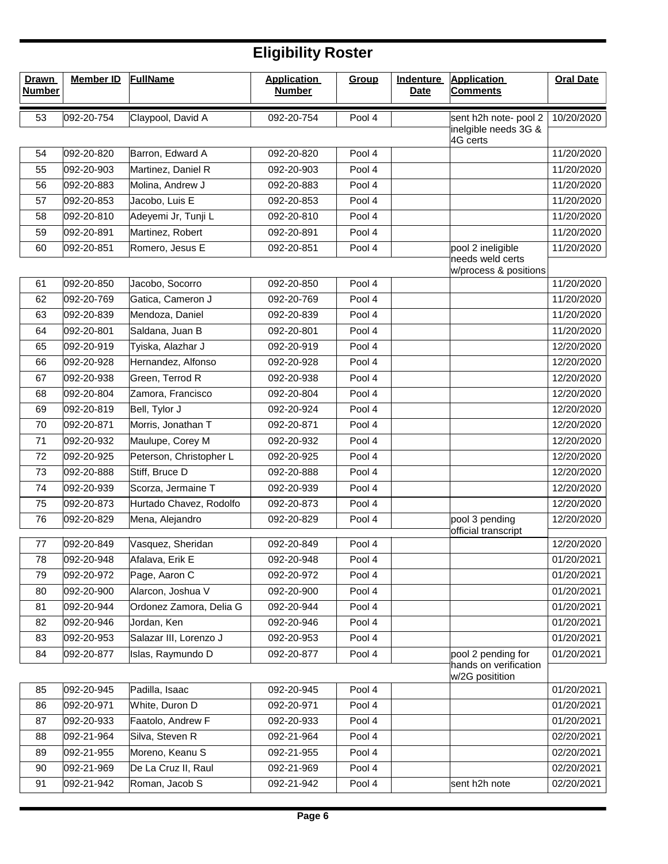| <b>Drawn</b><br><b>Number</b> | <b>Member ID</b> | <b>FullName</b>         | <b>Application</b><br><b>Number</b> | Group  | <b>Indenture</b><br><b>Date</b> | <b>Application</b><br><b>Comments</b>     | <b>Oral Date</b> |
|-------------------------------|------------------|-------------------------|-------------------------------------|--------|---------------------------------|-------------------------------------------|------------------|
| 53                            | 092-20-754       | Claypool, David A       | 092-20-754                          | Pool 4 |                                 | sent h2h note- pool 2                     | 10/20/2020       |
|                               |                  |                         |                                     |        |                                 | inelgible needs 3G &<br>4G certs          |                  |
| 54                            | 092-20-820       | Barron, Edward A        | 092-20-820                          | Pool 4 |                                 |                                           | 11/20/2020       |
| 55                            | 092-20-903       | Martinez, Daniel R      | 092-20-903                          | Pool 4 |                                 |                                           | 11/20/2020       |
| 56                            | 092-20-883       | Molina, Andrew J        | 092-20-883                          | Pool 4 |                                 |                                           | 11/20/2020       |
| 57                            | 092-20-853       | Jacobo, Luis E          | 092-20-853                          | Pool 4 |                                 |                                           | 11/20/2020       |
| 58                            | 092-20-810       | Adeyemi Jr, Tunji L     | 092-20-810                          | Pool 4 |                                 |                                           | 11/20/2020       |
| 59                            | 092-20-891       | Martinez, Robert        | 092-20-891                          | Pool 4 |                                 |                                           | 11/20/2020       |
| 60                            | 092-20-851       | Romero, Jesus E         | 092-20-851                          | Pool 4 |                                 | pool 2 ineligible                         | 11/20/2020       |
|                               |                  |                         |                                     |        |                                 | needs weld certs<br>w/process & positions |                  |
| 61                            | 092-20-850       | Jacobo, Socorro         | 092-20-850                          | Pool 4 |                                 |                                           | 11/20/2020       |
| 62                            | 092-20-769       | Gatica, Cameron J       | 092-20-769                          | Pool 4 |                                 |                                           | 11/20/2020       |
| 63                            | 092-20-839       | Mendoza, Daniel         | 092-20-839                          | Pool 4 |                                 |                                           | 11/20/2020       |
| 64                            | 092-20-801       | Saldana, Juan B         | 092-20-801                          | Pool 4 |                                 |                                           | 11/20/2020       |
| 65                            | 092-20-919       | Tyiska, Alazhar J       | 092-20-919                          | Pool 4 |                                 |                                           | 12/20/2020       |
| 66                            | 092-20-928       | Hernandez, Alfonso      | 092-20-928                          | Pool 4 |                                 |                                           | 12/20/2020       |
| 67                            | 092-20-938       | Green, Terrod R         | 092-20-938                          | Pool 4 |                                 |                                           | 12/20/2020       |
| 68                            | 092-20-804       | Zamora, Francisco       | 092-20-804                          | Pool 4 |                                 |                                           | 12/20/2020       |
| 69                            | 092-20-819       | Bell, Tylor J           | 092-20-924                          | Pool 4 |                                 |                                           | 12/20/2020       |
| 70                            | 092-20-871       | Morris, Jonathan T      | 092-20-871                          | Pool 4 |                                 |                                           | 12/20/2020       |
| 71                            | 092-20-932       | Maulupe, Corey M        | 092-20-932                          | Pool 4 |                                 |                                           | 12/20/2020       |
| 72                            | 092-20-925       | Peterson, Christopher L | 092-20-925                          | Pool 4 |                                 |                                           | 12/20/2020       |
| 73                            | 092-20-888       | Stiff, Bruce D          | 092-20-888                          | Pool 4 |                                 |                                           | 12/20/2020       |
| 74                            | 092-20-939       | Scorza, Jermaine T      | 092-20-939                          | Pool 4 |                                 |                                           | 12/20/2020       |
| 75                            | 092-20-873       | Hurtado Chavez, Rodolfo | 092-20-873                          | Pool 4 |                                 |                                           | 12/20/2020       |
| 76                            | 092-20-829       | Mena, Alejandro         | 092-20-829                          | Pool 4 |                                 | pool 3 pending<br>official transcript     | 12/20/2020       |
| 77                            | 092-20-849       | Vasquez, Sheridan       | 092-20-849                          | Pool 4 |                                 |                                           | 12/20/2020       |
| 78                            | 092-20-948       | Afalava, Erik E         | 092-20-948                          | Pool 4 |                                 |                                           | 01/20/2021       |
| 79                            | 092-20-972       | Page, Aaron C           | 092-20-972                          | Pool 4 |                                 |                                           | 01/20/2021       |
| 80                            | 092-20-900       | Alarcon, Joshua V       | 092-20-900                          | Pool 4 |                                 |                                           | 01/20/2021       |
| 81                            | 092-20-944       | Ordonez Zamora, Delia G | 092-20-944                          | Pool 4 |                                 |                                           | 01/20/2021       |
| 82                            | 092-20-946       | Jordan, Ken             | 092-20-946                          | Pool 4 |                                 |                                           | 01/20/2021       |
| 83                            | 092-20-953       | Salazar III, Lorenzo J  | 092-20-953                          | Pool 4 |                                 |                                           | 01/20/2021       |
| 84                            | 092-20-877       | Islas, Raymundo D       | 092-20-877                          | Pool 4 |                                 | pool 2 pending for                        | 01/20/2021       |
|                               |                  |                         |                                     |        |                                 | hands on verification<br>w/2G positition  |                  |
| 85                            | 092-20-945       | Padilla, Isaac          | 092-20-945                          | Pool 4 |                                 |                                           | 01/20/2021       |
| 86                            | 092-20-971       | White, Duron D          | 092-20-971                          | Pool 4 |                                 |                                           | 01/20/2021       |
| 87                            | 092-20-933       | Faatolo, Andrew F       | 092-20-933                          | Pool 4 |                                 |                                           | 01/20/2021       |
| 88                            | 092-21-964       | Silva, Steven R         | 092-21-964                          | Pool 4 |                                 |                                           | 02/20/2021       |
| 89                            | 092-21-955       | Moreno, Keanu S         | 092-21-955                          | Pool 4 |                                 |                                           | 02/20/2021       |
| 90                            | 092-21-969       | De La Cruz II, Raul     | 092-21-969                          | Pool 4 |                                 |                                           | 02/20/2021       |
| 91                            | 092-21-942       | Roman, Jacob S          | 092-21-942                          | Pool 4 |                                 | sent h2h note                             | 02/20/2021       |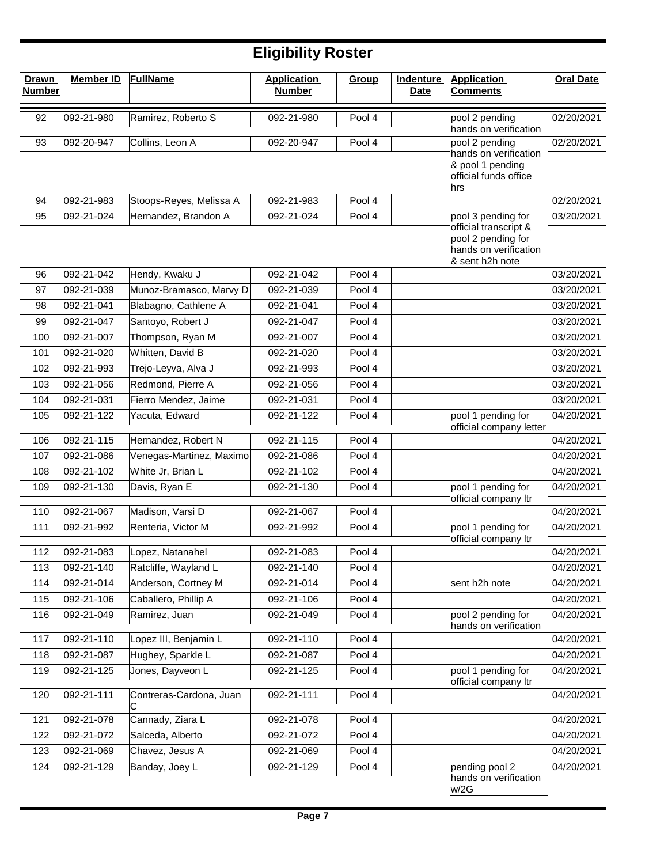| <b>Drawn</b><br><b>Number</b> | <b>Member ID</b> | <b>FullName</b>              | <b>Application</b><br><b>Number</b> | Group  | <b>Indenture</b><br><b>Date</b> | <b>Application</b><br><b>Comments</b>                                                   | <b>Oral Date</b> |
|-------------------------------|------------------|------------------------------|-------------------------------------|--------|---------------------------------|-----------------------------------------------------------------------------------------|------------------|
| 92                            | 092-21-980       | Ramirez, Roberto S           | 092-21-980                          | Pool 4 |                                 | pool 2 pending<br>hands on verification                                                 | 02/20/2021       |
| 93                            | 092-20-947       | Collins, Leon A              | 092-20-947                          | Pool 4 |                                 | pool 2 pending                                                                          | 02/20/2021       |
|                               |                  |                              |                                     |        |                                 | hands on verification<br>& pool 1 pending<br>official funds office<br>hrs               |                  |
| 94                            | 092-21-983       | Stoops-Reyes, Melissa A      | 092-21-983                          | Pool 4 |                                 |                                                                                         | 02/20/2021       |
| 95                            | 092-21-024       | Hernandez, Brandon A         | 092-21-024                          | Pool 4 |                                 | pool 3 pending for                                                                      | 03/20/2021       |
|                               |                  |                              |                                     |        |                                 | official transcript &<br>pool 2 pending for<br>hands on verification<br>& sent h2h note |                  |
| 96                            | 092-21-042       | Hendy, Kwaku J               | 092-21-042                          | Pool 4 |                                 |                                                                                         | 03/20/2021       |
| 97                            | 092-21-039       | Munoz-Bramasco, Marvy D      | 092-21-039                          | Pool 4 |                                 |                                                                                         | 03/20/2021       |
| 98                            | 092-21-041       | Blabagno, Cathlene A         | 092-21-041                          | Pool 4 |                                 |                                                                                         | 03/20/2021       |
| 99                            | 092-21-047       | Santoyo, Robert J            | 092-21-047                          | Pool 4 |                                 |                                                                                         | 03/20/2021       |
| 100                           | 092-21-007       | Thompson, Ryan M             | 092-21-007                          | Pool 4 |                                 |                                                                                         | 03/20/2021       |
| 101                           | 092-21-020       | Whitten, David B             | 092-21-020                          | Pool 4 |                                 |                                                                                         | 03/20/2021       |
| 102                           | 092-21-993       | Trejo-Leyva, Alva J          | 092-21-993                          | Pool 4 |                                 |                                                                                         | 03/20/2021       |
| 103                           | 092-21-056       | Redmond, Pierre A            | 092-21-056                          | Pool 4 |                                 |                                                                                         | 03/20/2021       |
| 104                           | 092-21-031       | Fierro Mendez, Jaime         | 092-21-031                          | Pool 4 |                                 |                                                                                         | 03/20/2021       |
| 105                           | 092-21-122       | Yacuta, Edward               | 092-21-122                          | Pool 4 |                                 | pool 1 pending for<br>official company letter                                           | 04/20/2021       |
| 106                           | 092-21-115       | Hernandez, Robert N          | 092-21-115                          | Pool 4 |                                 |                                                                                         | 04/20/2021       |
| 107                           | 092-21-086       | Venegas-Martinez, Maximo     | 092-21-086                          | Pool 4 |                                 |                                                                                         | 04/20/2021       |
| 108                           | 092-21-102       | White Jr, Brian L            | 092-21-102                          | Pool 4 |                                 |                                                                                         | 04/20/2021       |
| 109                           | 092-21-130       | Davis, Ryan E                | 092-21-130                          | Pool 4 |                                 | pool 1 pending for                                                                      | 04/20/2021       |
| 110                           | 092-21-067       | Madison, Varsi D             | 092-21-067                          | Pool 4 |                                 | official company Itr                                                                    | 04/20/2021       |
| 111                           | 092-21-992       | Renteria, Victor M           | 092-21-992                          | Pool 4 |                                 | pool 1 pending for                                                                      | 04/20/2021       |
|                               |                  |                              |                                     |        |                                 | official company ltr                                                                    |                  |
| 112                           | 092-21-083       | Lopez, Natanahel             | 092-21-083                          | Pool 4 |                                 |                                                                                         | 04/20/2021       |
| 113                           | 092-21-140       | Ratcliffe, Wayland L         | 092-21-140                          | Pool 4 |                                 |                                                                                         | 04/20/2021       |
| 114                           | 092-21-014       | Anderson, Cortney M          | 092-21-014                          | Pool 4 |                                 | sent h2h note                                                                           | 04/20/2021       |
| 115                           | 092-21-106       | Caballero, Phillip A         | 092-21-106                          | Pool 4 |                                 |                                                                                         | 04/20/2021       |
| 116                           | 092-21-049       | Ramirez, Juan                | 092-21-049                          | Pool 4 |                                 | pool 2 pending for                                                                      | 04/20/2021       |
| 117                           | 092-21-110       | Lopez III, Benjamin L        | 092-21-110                          | Pool 4 |                                 | hands on verification                                                                   | 04/20/2021       |
| 118                           | 092-21-087       | Hughey, Sparkle L            | 092-21-087                          | Pool 4 |                                 |                                                                                         | 04/20/2021       |
| 119                           | 092-21-125       | Jones, Dayveon L             | 092-21-125                          | Pool 4 |                                 | pool 1 pending for                                                                      | 04/20/2021       |
|                               |                  |                              |                                     |        |                                 | official company ltr                                                                    |                  |
| 120                           | 092-21-111       | Contreras-Cardona, Juan<br>С | 092-21-111                          | Pool 4 |                                 |                                                                                         | 04/20/2021       |
| 121                           | 092-21-078       | Cannady, Ziara L             | 092-21-078                          | Pool 4 |                                 |                                                                                         | 04/20/2021       |
| 122                           | 092-21-072       | Salceda, Alberto             | 092-21-072                          | Pool 4 |                                 |                                                                                         | 04/20/2021       |
| 123                           | 092-21-069       | Chavez, Jesus A              | 092-21-069                          | Pool 4 |                                 |                                                                                         | 04/20/2021       |
| 124                           | 092-21-129       | Banday, Joey L               | 092-21-129                          | Pool 4 |                                 | pending pool 2<br>hands on verification<br>w/2G                                         | 04/20/2021       |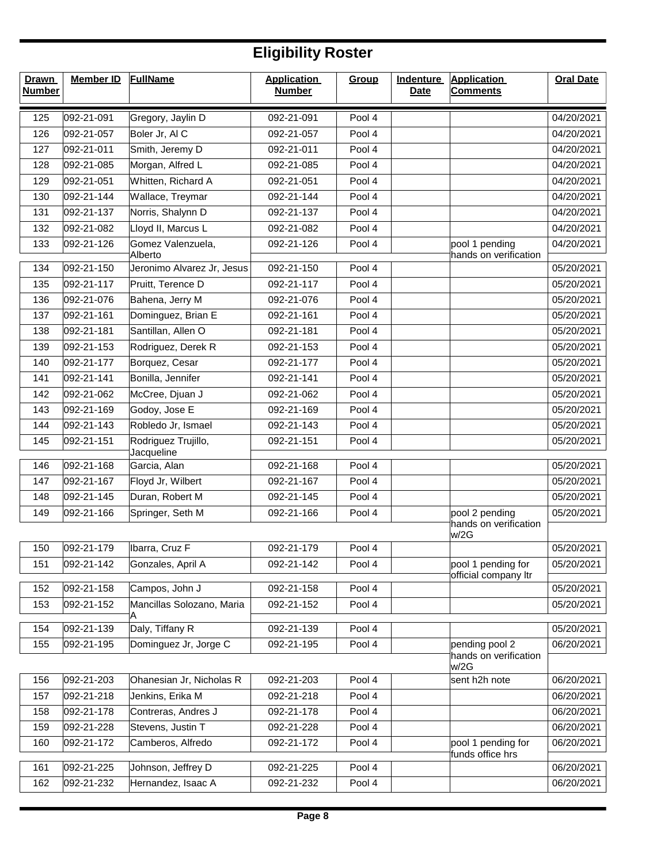| <b>Drawn</b><br><b>Number</b> | <b>Member ID</b> | <b>FullName</b>                       | <b>Application</b><br><b>Number</b> | Group  | <b>Indenture</b><br><b>Date</b> | <b>Application</b><br><b>Comments</b>      | <b>Oral Date</b> |
|-------------------------------|------------------|---------------------------------------|-------------------------------------|--------|---------------------------------|--------------------------------------------|------------------|
| 125                           | 092-21-091       | Gregory, Jaylin D                     | 092-21-091                          | Pool 4 |                                 |                                            | 04/20/2021       |
| 126                           | 092-21-057       | Boler Jr, AI C                        | 092-21-057                          | Pool 4 |                                 |                                            | 04/20/2021       |
| 127                           | 092-21-011       | Smith, Jeremy D                       | 092-21-011                          | Pool 4 |                                 |                                            | 04/20/2021       |
| 128                           | 092-21-085       | Morgan, Alfred L                      | 092-21-085                          | Pool 4 |                                 |                                            | 04/20/2021       |
| 129                           | 092-21-051       | Whitten, Richard A                    | 092-21-051                          | Pool 4 |                                 |                                            | 04/20/2021       |
| 130                           | 092-21-144       | Wallace, Treymar                      | 092-21-144                          | Pool 4 |                                 |                                            | 04/20/2021       |
| 131                           | 092-21-137       | Norris, Shalynn D                     | 092-21-137                          | Pool 4 |                                 |                                            | 04/20/2021       |
| 132                           | 092-21-082       | Lloyd II, Marcus L                    | 092-21-082                          | Pool 4 |                                 |                                            | 04/20/2021       |
| 133                           | 092-21-126       | Gomez Valenzuela,                     | 092-21-126                          | Pool 4 |                                 | pool 1 pending                             | 04/20/2021       |
| 134                           | 092-21-150       | Alberto<br>Jeronimo Alvarez Jr, Jesus | 092-21-150                          | Pool 4 |                                 | hands on verification                      | 05/20/2021       |
| 135                           | 092-21-117       | Pruitt, Terence D                     | 092-21-117                          | Pool 4 |                                 |                                            | 05/20/2021       |
| 136                           | 092-21-076       | Bahena, Jerry M                       | 092-21-076                          | Pool 4 |                                 |                                            | 05/20/2021       |
| 137                           | 092-21-161       | Dominguez, Brian E                    | 092-21-161                          | Pool 4 |                                 |                                            | 05/20/2021       |
| 138                           | 092-21-181       | Santillan, Allen O                    | 092-21-181                          | Pool 4 |                                 |                                            | 05/20/2021       |
| 139                           | 092-21-153       | Rodriguez, Derek R                    | 092-21-153                          | Pool 4 |                                 |                                            | 05/20/2021       |
| 140                           | 092-21-177       | Borquez, Cesar                        | 092-21-177                          | Pool 4 |                                 |                                            | 05/20/2021       |
| 141                           | 092-21-141       | Bonilla, Jennifer                     | 092-21-141                          | Pool 4 |                                 |                                            | 05/20/2021       |
| 142                           | 092-21-062       | McCree, Djuan J                       | 092-21-062                          | Pool 4 |                                 |                                            | 05/20/2021       |
| 143                           | 092-21-169       | Godoy, Jose E                         | 092-21-169                          | Pool 4 |                                 |                                            | 05/20/2021       |
| 144                           | 092-21-143       | Robledo Jr, Ismael                    | 092-21-143                          | Pool 4 |                                 |                                            | 05/20/2021       |
| 145                           | 092-21-151       | Rodriguez Trujillo,                   | 092-21-151                          | Pool 4 |                                 |                                            | 05/20/2021       |
| 146                           | 092-21-168       | Jacqueline<br>Garcia, Alan            | 092-21-168                          | Pool 4 |                                 |                                            | 05/20/2021       |
| 147                           | 092-21-167       | Floyd Jr, Wilbert                     | 092-21-167                          | Pool 4 |                                 |                                            | 05/20/2021       |
| 148                           | 092-21-145       | Duran, Robert M                       | 092-21-145                          | Pool 4 |                                 |                                            | 05/20/2021       |
| 149                           | 092-21-166       | Springer, Seth M                      | 092-21-166                          | Pool 4 |                                 | pool 2 pending                             | 05/20/2021       |
|                               |                  |                                       |                                     |        |                                 | hands on verification<br>w/2G              |                  |
| 150                           | 092-21-179       | Ibarra, Cruz F                        | 092-21-179                          | Pool 4 |                                 |                                            | 05/20/2021       |
| 151                           | 092-21-142       | Gonzales, April A                     | 092-21-142                          | Pool 4 |                                 | pool 1 pending for<br>official company Itr | 05/20/2021       |
| 152                           | 092-21-158       | Campos, John J                        | 092-21-158                          | Pool 4 |                                 |                                            | 05/20/2021       |
| 153                           | 092-21-152       | Mancillas Solozano, Maria<br>A        | 092-21-152                          | Pool 4 |                                 |                                            | 05/20/2021       |
| 154                           | 092-21-139       | Daly, Tiffany R                       | 092-21-139                          | Pool 4 |                                 |                                            | 05/20/2021       |
| 155                           | 092-21-195       | Dominguez Jr, Jorge C                 | 092-21-195                          | Pool 4 |                                 | pending pool 2                             | 06/20/2021       |
|                               |                  |                                       |                                     |        |                                 | hands on verification<br>w/2G              |                  |
| 156                           | 092-21-203       | Ohanesian Jr, Nicholas R              | 092-21-203                          | Pool 4 |                                 | sent h2h note                              | 06/20/2021       |
| 157                           | 092-21-218       | Jenkins, Erika M                      | 092-21-218                          | Pool 4 |                                 |                                            | 06/20/2021       |
| 158                           | 092-21-178       | Contreras, Andres J                   | 092-21-178                          | Pool 4 |                                 |                                            | 06/20/2021       |
| 159                           | 092-21-228       | Stevens, Justin T                     | 092-21-228                          | Pool 4 |                                 |                                            | 06/20/2021       |
| 160                           | 092-21-172       | Camberos, Alfredo                     | 092-21-172                          | Pool 4 |                                 | pool 1 pending for<br>funds office hrs     | 06/20/2021       |
| 161                           | 092-21-225       | Johnson, Jeffrey D                    | 092-21-225                          | Pool 4 |                                 |                                            | 06/20/2021       |
| 162                           | 092-21-232       | Hernandez, Isaac A                    | 092-21-232                          | Pool 4 |                                 |                                            | 06/20/2021       |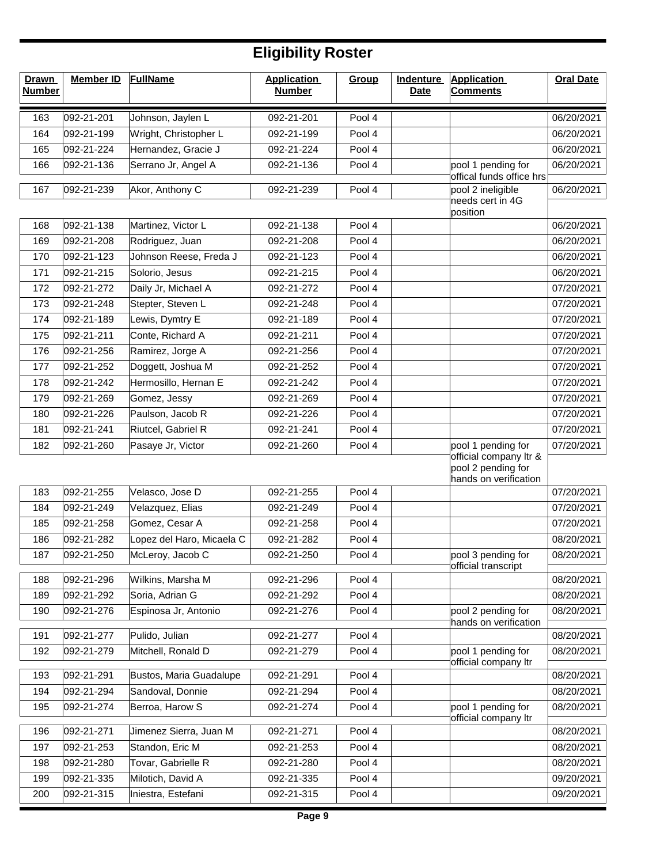| <b>Drawn</b><br><b>Number</b> | <b>Member ID</b>         | FullName                            | <b>Application</b><br><b>Number</b> | Group            | <b>Indenture</b><br><b>Date</b> | <b>Application</b><br><b>Comments</b>                                 | <b>Oral Date</b>         |
|-------------------------------|--------------------------|-------------------------------------|-------------------------------------|------------------|---------------------------------|-----------------------------------------------------------------------|--------------------------|
| 163                           | 092-21-201               | Johnson, Jaylen L                   | 092-21-201                          | Pool 4           |                                 |                                                                       | 06/20/2021               |
| 164                           | 092-21-199               | Wright, Christopher L               | 092-21-199                          | Pool 4           |                                 |                                                                       | 06/20/2021               |
| 165                           | 092-21-224               | Hernandez, Gracie J                 | 092-21-224                          | Pool 4           |                                 |                                                                       | 06/20/2021               |
| 166                           | 092-21-136               | Serrano Jr, Angel A                 | 092-21-136                          | Pool 4           |                                 | pool 1 pending for                                                    | 06/20/2021               |
|                               |                          | Akor, Anthony C                     |                                     |                  |                                 | offical funds office hrs<br>pool 2 ineligible                         | 06/20/2021               |
| 167                           | 092-21-239               |                                     | 092-21-239                          | Pool 4           |                                 | needs cert in 4G                                                      |                          |
|                               |                          |                                     |                                     |                  |                                 | position                                                              |                          |
| 168                           | 092-21-138               | Martinez, Victor L                  | 092-21-138                          | Pool 4           |                                 |                                                                       | 06/20/2021               |
| 169                           | 092-21-208               | Rodriguez, Juan                     | 092-21-208                          | Pool 4           |                                 |                                                                       | 06/20/2021               |
| 170                           | 092-21-123               | Johnson Reese, Freda J              | 092-21-123                          | Pool 4           |                                 |                                                                       | 06/20/2021               |
| 171                           | 092-21-215               | Solorio, Jesus                      | 092-21-215                          | Pool 4           |                                 |                                                                       | 06/20/2021               |
| 172                           | 092-21-272               | Daily Jr, Michael A                 | 092-21-272                          | Pool 4           |                                 |                                                                       | 07/20/2021               |
| 173                           | 092-21-248               | Stepter, Steven L                   | 092-21-248                          | Pool 4           |                                 |                                                                       | 07/20/2021               |
| 174                           | 092-21-189<br>092-21-211 | Lewis, Dymtry E<br>Conte, Richard A | 092-21-189<br>092-21-211            | Pool 4<br>Pool 4 |                                 |                                                                       | 07/20/2021<br>07/20/2021 |
| 175<br>176                    | 092-21-256               | Ramirez, Jorge A                    | 092-21-256                          | Pool 4           |                                 |                                                                       | 07/20/2021               |
| 177                           | 092-21-252               | Doggett, Joshua M                   | 092-21-252                          | Pool 4           |                                 |                                                                       | 07/20/2021               |
| 178                           | 092-21-242               | Hermosillo, Hernan E                | 092-21-242                          | Pool 4           |                                 |                                                                       | 07/20/2021               |
| 179                           | 092-21-269               | Gomez, Jessy                        | 092-21-269                          | Pool 4           |                                 |                                                                       | 07/20/2021               |
| 180                           | 092-21-226               | Paulson, Jacob R                    | 092-21-226                          | Pool 4           |                                 |                                                                       | 07/20/2021               |
| 181                           | 092-21-241               | Riutcel, Gabriel R                  | 092-21-241                          | Pool 4           |                                 |                                                                       | 07/20/2021               |
| 182                           | 092-21-260               | Pasaye Jr, Victor                   | 092-21-260                          | Pool 4           |                                 | pool 1 pending for                                                    | 07/20/2021               |
|                               |                          |                                     |                                     |                  |                                 | official company ltr &<br>pool 2 pending for<br>hands on verification |                          |
| 183                           | 092-21-255               | Velasco, Jose D                     | 092-21-255                          | Pool 4           |                                 |                                                                       | 07/20/2021               |
| 184                           | 092-21-249               | Velazquez, Elias                    | 092-21-249                          | Pool 4           |                                 |                                                                       | 07/20/2021               |
| 185                           | 092-21-258               | Gomez, Cesar A                      | 092-21-258                          | Pool 4           |                                 |                                                                       | 07/20/2021               |
| 186                           | 092-21-282               | Lopez del Haro, Micaela C           | 092-21-282                          | Pool 4           |                                 |                                                                       | 08/20/2021               |
| 187                           | 092-21-250               | McLeroy, Jacob C                    | 092-21-250                          | Pool 4           |                                 | pool 3 pending for                                                    | 08/20/2021               |
| 188                           | 092-21-296               | Wilkins, Marsha M                   | 092-21-296                          | Pool 4           |                                 | official transcript                                                   | 08/20/2021               |
| 189                           | 092-21-292               | Soria, Adrian G                     | 092-21-292                          | Pool 4           |                                 |                                                                       | 08/20/2021               |
| 190                           | 092-21-276               | Espinosa Jr, Antonio                | 092-21-276                          | Pool 4           |                                 | pool 2 pending for                                                    | 08/20/2021               |
|                               |                          |                                     |                                     |                  |                                 | hands on verification                                                 |                          |
| 191                           | 092-21-277               | Pulido, Julian                      | 092-21-277                          | Pool 4           |                                 |                                                                       | 08/20/2021               |
| 192                           | 092-21-279               | Mitchell, Ronald D                  | 092-21-279                          | Pool 4           |                                 | pool 1 pending for                                                    | 08/20/2021               |
| 193                           | 092-21-291               | Bustos, Maria Guadalupe             | 092-21-291                          | Pool 4           |                                 | official company Itr                                                  | 08/20/2021               |
| 194                           | 092-21-294               | Sandoval, Donnie                    | 092-21-294                          | Pool 4           |                                 |                                                                       | 08/20/2021               |
| 195                           | 092-21-274               | Berroa, Harow S                     | 092-21-274                          | Pool 4           |                                 | pool 1 pending for                                                    | 08/20/2021               |
|                               |                          |                                     |                                     |                  |                                 | official company ltr                                                  |                          |
| 196                           | 092-21-271               | Jimenez Sierra, Juan M              | 092-21-271                          | Pool 4           |                                 |                                                                       | 08/20/2021               |
| 197                           | 092-21-253               | Standon, Eric M                     | 092-21-253                          | Pool 4           |                                 |                                                                       | 08/20/2021               |
| 198                           | 092-21-280               | Tovar, Gabrielle R                  | 092-21-280                          | Pool 4           |                                 |                                                                       | 08/20/2021               |
| 199                           | 092-21-335               | Milotich, David A                   | 092-21-335                          | Pool 4           |                                 |                                                                       | 09/20/2021               |
| 200                           | 092-21-315               | Iniestra, Estefani                  | 092-21-315                          | Pool 4           |                                 |                                                                       | 09/20/2021               |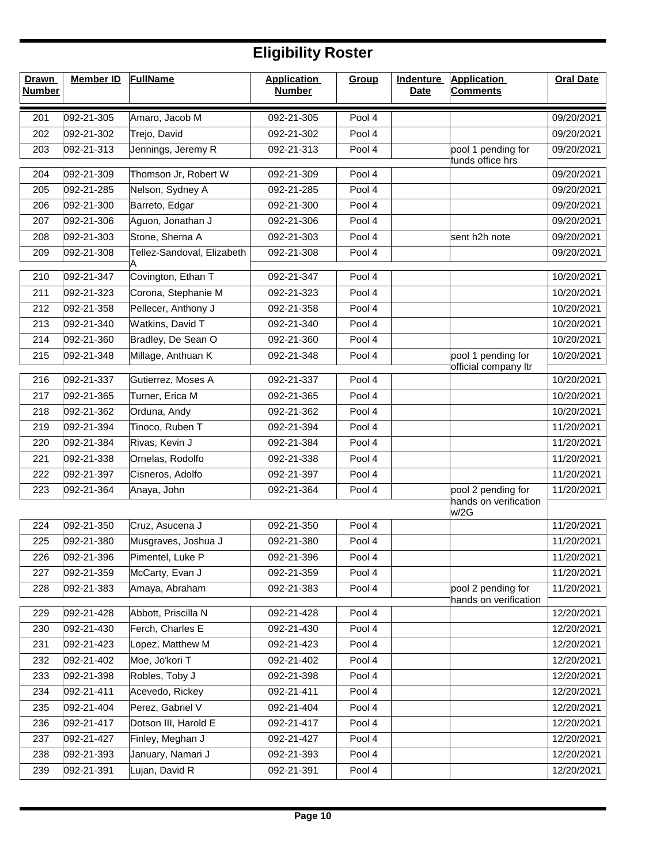| <b>Drawn</b><br><b>Number</b> | <b>Member ID</b> | <b>FullName</b>            | <b>Application</b><br><b>Number</b> | Group  | <b>Indenture</b><br><b>Date</b> | <b>Application</b><br><b>Comments</b>       | <b>Oral Date</b> |
|-------------------------------|------------------|----------------------------|-------------------------------------|--------|---------------------------------|---------------------------------------------|------------------|
| 201                           | 092-21-305       | Amaro, Jacob M             | 092-21-305                          | Pool 4 |                                 |                                             | 09/20/2021       |
| 202                           | 092-21-302       | Trejo, David               | 092-21-302                          | Pool 4 |                                 |                                             | 09/20/2021       |
| 203                           | 092-21-313       | Jennings, Jeremy R         | 092-21-313                          | Pool 4 |                                 | pool 1 pending for<br>funds office hrs      | 09/20/2021       |
| 204                           | 092-21-309       | Thomson Jr, Robert W       | 092-21-309                          | Pool 4 |                                 |                                             | 09/20/2021       |
| 205                           | 092-21-285       | Nelson, Sydney A           | 092-21-285                          | Pool 4 |                                 |                                             | 09/20/2021       |
| 206                           | 092-21-300       | Barreto, Edgar             | 092-21-300                          | Pool 4 |                                 |                                             | 09/20/2021       |
| 207                           | 092-21-306       | Aguon, Jonathan J          | 092-21-306                          | Pool 4 |                                 |                                             | 09/20/2021       |
| 208                           | 092-21-303       | Stone, Sherna A            | 092-21-303                          | Pool 4 |                                 | sent h2h note                               | 09/20/2021       |
| 209                           | 092-21-308       | Tellez-Sandoval, Elizabeth | 092-21-308                          | Pool 4 |                                 |                                             | 09/20/2021       |
| 210                           | 092-21-347       | Covington, Ethan T         | 092-21-347                          | Pool 4 |                                 |                                             | 10/20/2021       |
| 211                           | 092-21-323       | Corona, Stephanie M        | 092-21-323                          | Pool 4 |                                 |                                             | 10/20/2021       |
| 212                           | 092-21-358       | Pellecer, Anthony J        | 092-21-358                          | Pool 4 |                                 |                                             | 10/20/2021       |
| 213                           | 092-21-340       | Watkins, David T           | 092-21-340                          | Pool 4 |                                 |                                             | 10/20/2021       |
| 214                           | 092-21-360       | Bradley, De Sean O         | 092-21-360                          | Pool 4 |                                 |                                             | 10/20/2021       |
| 215                           | 092-21-348       | Millage, Anthuan K         | 092-21-348                          | Pool 4 |                                 | pool 1 pending for<br>official company Itr  | 10/20/2021       |
| 216                           | 092-21-337       | Gutierrez, Moses A         | 092-21-337                          | Pool 4 |                                 |                                             | 10/20/2021       |
| 217                           | 092-21-365       | Turner, Erica M            | 092-21-365                          | Pool 4 |                                 |                                             | 10/20/2021       |
| 218                           | 092-21-362       | Orduna, Andy               | 092-21-362                          | Pool 4 |                                 |                                             | 10/20/2021       |
| 219                           | 092-21-394       | Tinoco, Ruben T            | 092-21-394                          | Pool 4 |                                 |                                             | 11/20/2021       |
| 220                           | 092-21-384       | Rivas, Kevin J             | 092-21-384                          | Pool 4 |                                 |                                             | 11/20/2021       |
| 221                           | 092-21-338       | Ornelas, Rodolfo           | 092-21-338                          | Pool 4 |                                 |                                             | 11/20/2021       |
| 222                           | 092-21-397       | Cisneros, Adolfo           | 092-21-397                          | Pool 4 |                                 |                                             | 11/20/2021       |
| 223                           | 092-21-364       | Anaya, John                | 092-21-364                          | Pool 4 |                                 | pool 2 pending for<br>hands on verification | 11/20/2021       |
| 224                           | 092-21-350       | Cruz, Asucena J            | 092-21-350                          | Pool 4 |                                 | w/2G                                        | 11/20/2021       |
| 225                           | 092-21-380       | Musgraves, Joshua J        | 092-21-380                          | Pool 4 |                                 |                                             | 11/20/2021       |
| 226                           | 092-21-396       | Pimentel, Luke P           | 092-21-396                          | Pool 4 |                                 |                                             | 11/20/2021       |
| 227                           | 092-21-359       | McCarty, Evan J            | 092-21-359                          | Pool 4 |                                 |                                             | 11/20/2021       |
| 228                           | 092-21-383       | Amaya, Abraham             | 092-21-383                          | Pool 4 |                                 | pool 2 pending for<br>hands on verification | 11/20/2021       |
| 229                           | 092-21-428       | Abbott, Priscilla N        | 092-21-428                          | Pool 4 |                                 |                                             | 12/20/2021       |
| 230                           | 092-21-430       | Ferch, Charles E           | 092-21-430                          | Pool 4 |                                 |                                             | 12/20/2021       |
| 231                           | 092-21-423       | Lopez, Matthew M           | 092-21-423                          | Pool 4 |                                 |                                             | 12/20/2021       |
| 232                           | 092-21-402       | Moe, Jo'kori T             | 092-21-402                          | Pool 4 |                                 |                                             | 12/20/2021       |
| 233                           | 092-21-398       | Robles, Toby J             | 092-21-398                          | Pool 4 |                                 |                                             | 12/20/2021       |
| 234                           | 092-21-411       | Acevedo, Rickey            | 092-21-411                          | Pool 4 |                                 |                                             | 12/20/2021       |
| 235                           | 092-21-404       | Perez, Gabriel V           | 092-21-404                          | Pool 4 |                                 |                                             | 12/20/2021       |
| 236                           | 092-21-417       | Dotson III, Harold E       | 092-21-417                          | Pool 4 |                                 |                                             | 12/20/2021       |
| 237                           | 092-21-427       | Finley, Meghan J           | 092-21-427                          | Pool 4 |                                 |                                             | 12/20/2021       |
| 238                           | 092-21-393       | January, Namari J          | 092-21-393                          | Pool 4 |                                 |                                             | 12/20/2021       |
| 239                           | 092-21-391       | Lujan, David R             | 092-21-391                          | Pool 4 |                                 |                                             | 12/20/2021       |
|                               |                  |                            |                                     |        |                                 |                                             |                  |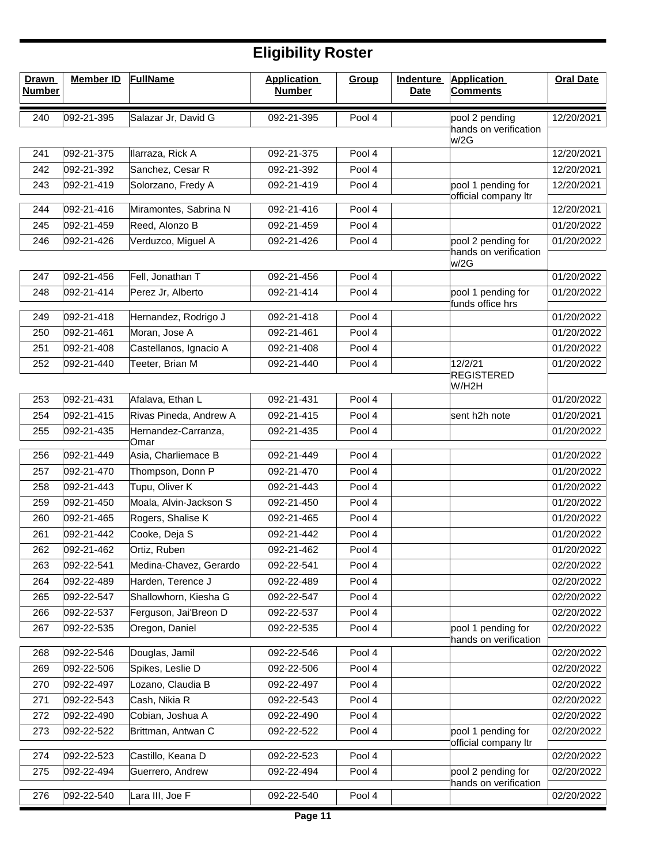| <b>Drawn</b><br><b>Number</b> | <b>Member ID</b> | <b>FullName</b>             | <b>Application</b><br><b>Number</b> | Group  | <b>Indenture</b><br><b>Date</b> | <b>Application</b><br><b>Comments</b>       | <b>Oral Date</b> |
|-------------------------------|------------------|-----------------------------|-------------------------------------|--------|---------------------------------|---------------------------------------------|------------------|
| 240                           | 092-21-395       | Salazar Jr, David G         | 092-21-395                          | Pool 4 |                                 | pool 2 pending                              | 12/20/2021       |
|                               |                  |                             |                                     |        |                                 | hands on verification<br>w/2G               |                  |
| 241                           | 092-21-375       | Ilarraza, Rick A            | 092-21-375                          | Pool 4 |                                 |                                             | 12/20/2021       |
| 242                           | 092-21-392       | Sanchez, Cesar R            | 092-21-392                          | Pool 4 |                                 |                                             | 12/20/2021       |
| 243                           | 092-21-419       | Solorzano, Fredy A          | 092-21-419                          | Pool 4 |                                 | pool 1 pending for                          | 12/20/2021       |
| 244                           | 092-21-416       | Miramontes, Sabrina N       | 092-21-416                          | Pool 4 |                                 | official company ltr                        | 12/20/2021       |
| 245                           | 092-21-459       | Reed, Alonzo B              | 092-21-459                          | Pool 4 |                                 |                                             | 01/20/2022       |
| 246                           | 092-21-426       | Verduzco, Miguel A          | 092-21-426                          | Pool 4 |                                 | pool 2 pending for                          | 01/20/2022       |
|                               |                  |                             |                                     |        |                                 | hands on verification<br>w/2G               |                  |
| 247                           | 092-21-456       | Fell, Jonathan T            | 092-21-456                          | Pool 4 |                                 |                                             | 01/20/2022       |
| 248                           | 092-21-414       | Perez Jr, Alberto           | 092-21-414                          | Pool 4 |                                 | pool 1 pending for<br>funds office hrs      | 01/20/2022       |
| 249                           | 092-21-418       | Hernandez, Rodrigo J        | 092-21-418                          | Pool 4 |                                 |                                             | 01/20/2022       |
| 250                           | 092-21-461       | Moran, Jose A               | 092-21-461                          | Pool 4 |                                 |                                             | 01/20/2022       |
| 251                           | 092-21-408       | Castellanos, Ignacio A      | 092-21-408                          | Pool 4 |                                 |                                             | 01/20/2022       |
| 252                           | 092-21-440       | Teeter, Brian M             | 092-21-440                          | Pool 4 |                                 | 12/2/21                                     | 01/20/2022       |
|                               |                  |                             |                                     |        |                                 | <b>REGISTERED</b><br>W/H2H                  |                  |
| 253                           | 092-21-431       | Afalava, Ethan L            | 092-21-431                          | Pool 4 |                                 |                                             | 01/20/2022       |
| 254                           | 092-21-415       | Rivas Pineda, Andrew A      | 092-21-415                          | Pool 4 |                                 | sent h2h note                               | 01/20/2021       |
| 255                           | 092-21-435       | Hernandez-Carranza,<br>Omar | 092-21-435                          | Pool 4 |                                 |                                             | 01/20/2022       |
| 256                           | 092-21-449       | Asia, Charliemace B         | 092-21-449                          | Pool 4 |                                 |                                             | 01/20/2022       |
| 257                           | 092-21-470       | Thompson, Donn P            | 092-21-470                          | Pool 4 |                                 |                                             | 01/20/2022       |
| 258                           | 092-21-443       | Tupu, Oliver K              | 092-21-443                          | Pool 4 |                                 |                                             | 01/20/2022       |
| 259                           | 092-21-450       | Moala, Alvin-Jackson S      | 092-21-450                          | Pool 4 |                                 |                                             | 01/20/2022       |
| 260                           | 092-21-465       | Rogers, Shalise K           | 092-21-465                          | Pool 4 |                                 |                                             | 01/20/2022       |
| 261                           | 092-21-442       | Cooke, Deja S               | 092-21-442                          | Pool 4 |                                 |                                             | 01/20/2022       |
| 262                           | 092-21-462       | Ortiz, Ruben                | 092-21-462                          | Pool 4 |                                 |                                             | 01/20/2022       |
| 263                           | 092-22-541       | Medina-Chavez, Gerardo      | 092-22-541                          | Pool 4 |                                 |                                             | 02/20/2022       |
| 264                           | 092-22-489       | Harden, Terence J           | 092-22-489                          | Pool 4 |                                 |                                             | 02/20/2022       |
| 265                           | 092-22-547       | Shallowhorn, Kiesha G       | 092-22-547                          | Pool 4 |                                 |                                             | 02/20/2022       |
| 266                           | 092-22-537       | Ferguson, Jai'Breon D       | 092-22-537                          | Pool 4 |                                 |                                             | 02/20/2022       |
| 267                           | 092-22-535       | Oregon, Daniel              | 092-22-535                          | Pool 4 |                                 | pool 1 pending for<br>hands on verification | 02/20/2022       |
| 268                           | 092-22-546       | Douglas, Jamil              | 092-22-546                          | Pool 4 |                                 |                                             | 02/20/2022       |
| 269                           | 092-22-506       | Spikes, Leslie D            | 092-22-506                          | Pool 4 |                                 |                                             | 02/20/2022       |
| 270                           | 092-22-497       | Lozano, Claudia B           | 092-22-497                          | Pool 4 |                                 |                                             | 02/20/2022       |
| 271                           | 092-22-543       | Cash, Nikia R               | 092-22-543                          | Pool 4 |                                 |                                             | 02/20/2022       |
| 272                           | 092-22-490       | Cobian, Joshua A            | 092-22-490                          | Pool 4 |                                 |                                             | 02/20/2022       |
| 273                           | 092-22-522       | Brittman, Antwan C          | 092-22-522                          | Pool 4 |                                 | pool 1 pending for<br>official company ltr  | 02/20/2022       |
| 274                           | 092-22-523       | Castillo, Keana D           | 092-22-523                          | Pool 4 |                                 |                                             | 02/20/2022       |
| 275                           | 092-22-494       | Guerrero, Andrew            | 092-22-494                          | Pool 4 |                                 | pool 2 pending for<br>hands on verification | 02/20/2022       |
| 276                           | 092-22-540       | Lara III, Joe F             | 092-22-540                          | Pool 4 |                                 |                                             | 02/20/2022       |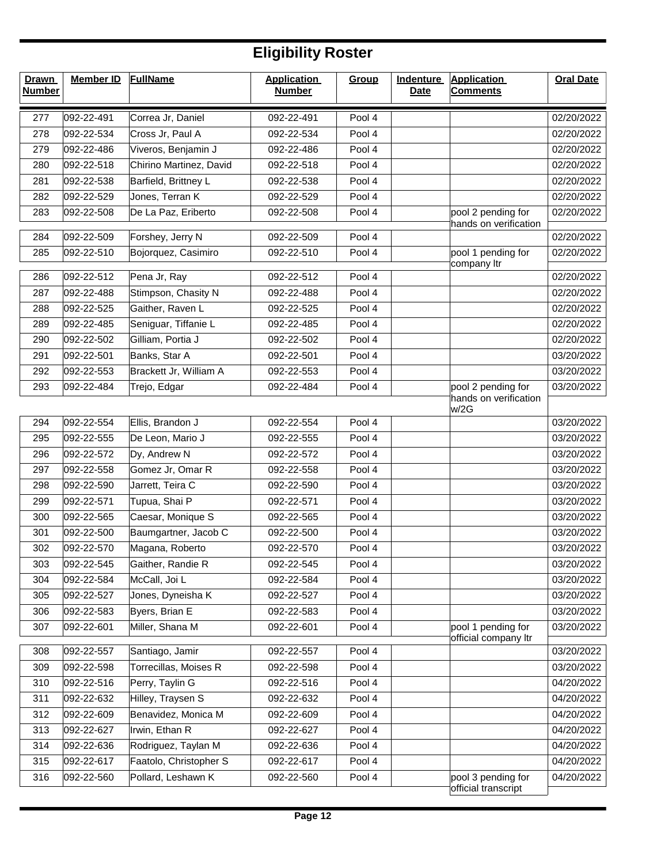| <b>Drawn</b><br><b>Number</b> | <b>Member ID</b> | <b>FullName</b>         | <b>Application</b><br><b>Number</b> | Group  | <b>Indenture</b><br><b>Date</b> | <b>Application</b><br><b>Comments</b>               | <b>Oral Date</b> |
|-------------------------------|------------------|-------------------------|-------------------------------------|--------|---------------------------------|-----------------------------------------------------|------------------|
| 277                           | 092-22-491       | Correa Jr, Daniel       | 092-22-491                          | Pool 4 |                                 |                                                     | 02/20/2022       |
| 278                           | 092-22-534       | Cross Jr, Paul A        | 092-22-534                          | Pool 4 |                                 |                                                     | 02/20/2022       |
| 279                           | 092-22-486       | Viveros, Benjamin J     | 092-22-486                          | Pool 4 |                                 |                                                     | 02/20/2022       |
| 280                           | 092-22-518       | Chirino Martinez, David | 092-22-518                          | Pool 4 |                                 |                                                     | 02/20/2022       |
| 281                           | 092-22-538       | Barfield, Brittney L    | 092-22-538                          | Pool 4 |                                 |                                                     | 02/20/2022       |
| 282                           | 092-22-529       | Jones, Terran K         | 092-22-529                          | Pool 4 |                                 |                                                     | 02/20/2022       |
| 283                           | 092-22-508       | De La Paz, Eriberto     | 092-22-508                          | Pool 4 |                                 | pool 2 pending for                                  | 02/20/2022       |
| 284                           | 092-22-509       | Forshey, Jerry N        | 092-22-509                          | Pool 4 |                                 | hands on verification                               | 02/20/2022       |
| 285                           | 092-22-510       | Bojorquez, Casimiro     | 092-22-510                          | Pool 4 |                                 | pool 1 pending for                                  | 02/20/2022       |
|                               |                  |                         |                                     |        |                                 | company Itr                                         |                  |
| 286                           | 092-22-512       | Pena Jr, Ray            | 092-22-512                          | Pool 4 |                                 |                                                     | 02/20/2022       |
| 287                           | 092-22-488       | Stimpson, Chasity N     | 092-22-488                          | Pool 4 |                                 |                                                     | 02/20/2022       |
| 288                           | 092-22-525       | Gaither, Raven L        | 092-22-525                          | Pool 4 |                                 |                                                     | 02/20/2022       |
| 289                           | 092-22-485       | Seniguar, Tiffanie L    | 092-22-485                          | Pool 4 |                                 |                                                     | 02/20/2022       |
| 290                           | 092-22-502       | Gilliam, Portia J       | 092-22-502                          | Pool 4 |                                 |                                                     | 02/20/2022       |
| 291                           | 092-22-501       | Banks, Star A           | 092-22-501                          | Pool 4 |                                 |                                                     | 03/20/2022       |
| 292                           | 092-22-553       | Brackett Jr, William A  | 092-22-553                          | Pool 4 |                                 |                                                     | 03/20/2022       |
| 293                           | 092-22-484       | Trejo, Edgar            | 092-22-484                          | Pool 4 |                                 | pool 2 pending for<br>hands on verification<br>w/2G | 03/20/2022       |
| 294                           | 092-22-554       | Ellis, Brandon J        | 092-22-554                          | Pool 4 |                                 |                                                     | 03/20/2022       |
| 295                           | 092-22-555       | De Leon, Mario J        | 092-22-555                          | Pool 4 |                                 |                                                     | 03/20/2022       |
| 296                           | 092-22-572       | Dy, Andrew N            | 092-22-572                          | Pool 4 |                                 |                                                     | 03/20/2022       |
| 297                           | 092-22-558       | Gomez Jr, Omar R        | 092-22-558                          | Pool 4 |                                 |                                                     | 03/20/2022       |
| 298                           | 092-22-590       | Jarrett, Teira C        | 092-22-590                          | Pool 4 |                                 |                                                     | 03/20/2022       |
| 299                           | 092-22-571       | Tupua, Shai P           | 092-22-571                          | Pool 4 |                                 |                                                     | 03/20/2022       |
| 300                           | 092-22-565       | Caesar, Monique S       | 092-22-565                          | Pool 4 |                                 |                                                     | 03/20/2022       |
| 301                           | 092-22-500       | Baumgartner, Jacob C    | 092-22-500                          | Pool 4 |                                 |                                                     | 03/20/2022       |
| 302                           | 092-22-570       | Magana, Roberto         | 092-22-570                          | Pool 4 |                                 |                                                     | 03/20/2022       |
| 303                           | 092-22-545       | Gaither, Randie R       | 092-22-545                          | Pool 4 |                                 |                                                     | 03/20/2022       |
| 304                           | 092-22-584       | McCall, Joi L           | 092-22-584                          | Pool 4 |                                 |                                                     | 03/20/2022       |
| 305                           | 092-22-527       | Jones, Dyneisha K       | 092-22-527                          | Pool 4 |                                 |                                                     | 03/20/2022       |
| 306                           | 092-22-583       | Byers, Brian E          | 092-22-583                          | Pool 4 |                                 |                                                     | 03/20/2022       |
| 307                           | 092-22-601       | Miller, Shana M         | 092-22-601                          | Pool 4 |                                 | pool 1 pending for<br>official company Itr          | 03/20/2022       |
| 308                           | 092-22-557       | Santiago, Jamir         | 092-22-557                          | Pool 4 |                                 |                                                     | 03/20/2022       |
| 309                           | 092-22-598       | Torrecillas, Moises R   | 092-22-598                          | Pool 4 |                                 |                                                     | 03/20/2022       |
| 310                           | 092-22-516       | Perry, Taylin G         | 092-22-516                          | Pool 4 |                                 |                                                     | 04/20/2022       |
| 311                           | 092-22-632       | Hilley, Traysen S       | 092-22-632                          | Pool 4 |                                 |                                                     | 04/20/2022       |
| 312                           | 092-22-609       | Benavidez, Monica M     | 092-22-609                          | Pool 4 |                                 |                                                     | 04/20/2022       |
| 313                           | 092-22-627       | Irwin, Ethan R          | 092-22-627                          | Pool 4 |                                 |                                                     | 04/20/2022       |
| 314                           | 092-22-636       | Rodriguez, Taylan M     | 092-22-636                          | Pool 4 |                                 |                                                     | 04/20/2022       |
| 315                           | 092-22-617       | Faatolo, Christopher S  | 092-22-617                          | Pool 4 |                                 |                                                     | 04/20/2022       |
| 316                           | 092-22-560       | Pollard, Leshawn K      | 092-22-560                          | Pool 4 |                                 | pool 3 pending for<br>official transcript           | 04/20/2022       |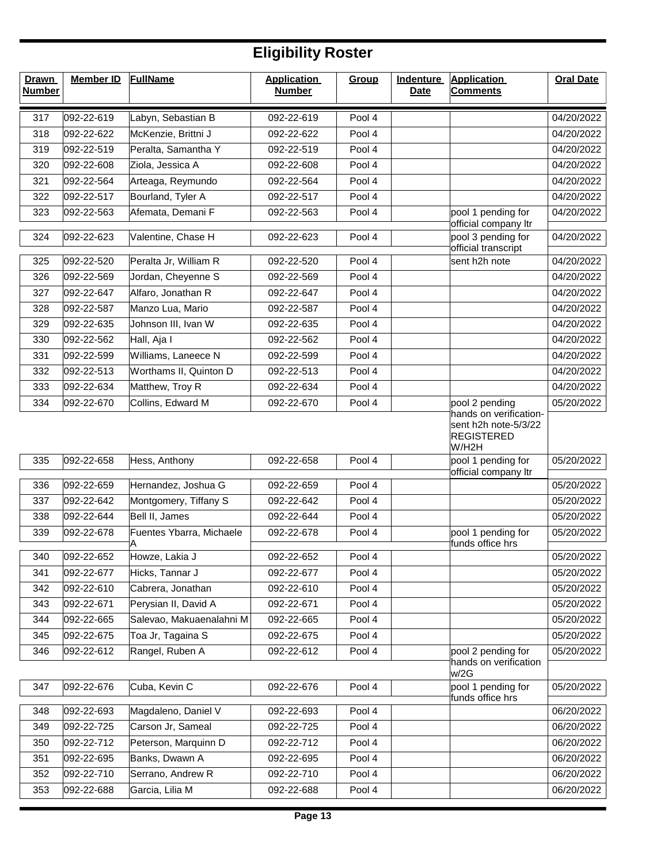| <b>Drawn</b><br><b>Number</b> | <b>Member ID</b> | <b>FullName</b>          | <b>Application</b><br><b>Number</b> | Group  | <b>Indenture</b><br><b>Date</b> | <b>Application</b><br><b>Comments</b>                                                     | <b>Oral Date</b> |
|-------------------------------|------------------|--------------------------|-------------------------------------|--------|---------------------------------|-------------------------------------------------------------------------------------------|------------------|
| 317                           | 092-22-619       | Labyn, Sebastian B       | 092-22-619                          | Pool 4 |                                 |                                                                                           | 04/20/2022       |
| 318                           | 092-22-622       | McKenzie, Brittni J      | 092-22-622                          | Pool 4 |                                 |                                                                                           | 04/20/2022       |
| 319                           | 092-22-519       | Peralta, Samantha Y      | 092-22-519                          | Pool 4 |                                 |                                                                                           | 04/20/2022       |
| 320                           | 092-22-608       | Ziola, Jessica A         | 092-22-608                          | Pool 4 |                                 |                                                                                           | 04/20/2022       |
| 321                           | 092-22-564       | Arteaga, Reymundo        | 092-22-564                          | Pool 4 |                                 |                                                                                           | 04/20/2022       |
| 322                           | 092-22-517       | Bourland, Tyler A        | 092-22-517                          | Pool 4 |                                 |                                                                                           | 04/20/2022       |
| 323                           | 092-22-563       | Afemata, Demani F        | 092-22-563                          | Pool 4 |                                 | pool 1 pending for                                                                        | 04/20/2022       |
| 324                           | 092-22-623       | Valentine, Chase H       | 092-22-623                          | Pool 4 |                                 | official company ltr<br>pool 3 pending for<br>official transcript                         | 04/20/2022       |
| 325                           | 092-22-520       | Peralta Jr, William R    | 092-22-520                          | Pool 4 |                                 | sent h2h note                                                                             | 04/20/2022       |
| 326                           | 092-22-569       | Jordan, Cheyenne S       | 092-22-569                          | Pool 4 |                                 |                                                                                           | 04/20/2022       |
| 327                           | 092-22-647       | Alfaro, Jonathan R       | 092-22-647                          | Pool 4 |                                 |                                                                                           | 04/20/2022       |
| 328                           | 092-22-587       | Manzo Lua, Mario         | 092-22-587                          | Pool 4 |                                 |                                                                                           | 04/20/2022       |
| 329                           | 092-22-635       | Johnson III, Ivan W      | 092-22-635                          | Pool 4 |                                 |                                                                                           | 04/20/2022       |
| 330                           | 092-22-562       | Hall, Aja I              | 092-22-562                          | Pool 4 |                                 |                                                                                           | 04/20/2022       |
| 331                           | 092-22-599       | Williams, Laneece N      | 092-22-599                          | Pool 4 |                                 |                                                                                           | 04/20/2022       |
| 332                           | 092-22-513       | Worthams II, Quinton D   | 092-22-513                          | Pool 4 |                                 |                                                                                           | 04/20/2022       |
| 333                           | 092-22-634       | Matthew, Troy R          | 092-22-634                          | Pool 4 |                                 |                                                                                           | 04/20/2022       |
| 334                           | 092-22-670       | Collins, Edward M        | 092-22-670                          | Pool 4 |                                 | pool 2 pending                                                                            | 05/20/2022       |
|                               |                  |                          |                                     |        |                                 | hands on verification-<br>sent h2h note-5/3/22<br><b>REGISTERED</b><br>W/H <sub>2</sub> H |                  |
| 335                           | 092-22-658       | Hess, Anthony            | 092-22-658                          | Pool 4 |                                 | pool 1 pending for<br>official company ltr                                                | 05/20/2022       |
| 336                           | 092-22-659       | Hernandez, Joshua G      | 092-22-659                          | Pool 4 |                                 |                                                                                           | 05/20/2022       |
| 337                           | 092-22-642       | Montgomery, Tiffany S    | 092-22-642                          | Pool 4 |                                 |                                                                                           | 05/20/2022       |
| 338                           | 092-22-644       | Bell II, James           | 092-22-644                          | Pool 4 |                                 |                                                                                           | 05/20/2022       |
| 339                           | 092-22-678       | Fuentes Ybarra, Michaele | 092-22-678                          | Pool 4 |                                 | pool 1 pending for<br>funds office hrs                                                    | 05/20/2022       |
| 340                           | 092-22-652       | Howze, Lakia J           | 092-22-652                          | Pool 4 |                                 |                                                                                           | 05/20/2022       |
| 341                           | 092-22-677       | Hicks, Tannar J          | 092-22-677                          | Pool 4 |                                 |                                                                                           | 05/20/2022       |
| 342                           | 092-22-610       | Cabrera, Jonathan        | 092-22-610                          | Pool 4 |                                 |                                                                                           | 05/20/2022       |
| 343                           | 092-22-671       | Perysian II, David A     | 092-22-671                          | Pool 4 |                                 |                                                                                           | 05/20/2022       |
| 344                           | 092-22-665       | Salevao, Makuaenalahni M | 092-22-665                          | Pool 4 |                                 |                                                                                           | 05/20/2022       |
| 345                           | 092-22-675       | Toa Jr, Tagaina S        | 092-22-675                          | Pool 4 |                                 |                                                                                           | 05/20/2022       |
| 346                           | 092-22-612       | Rangel, Ruben A          | 092-22-612                          | Pool 4 |                                 | pool 2 pending for<br>hands on verification                                               | 05/20/2022       |
|                               |                  |                          |                                     |        |                                 | w/2G                                                                                      |                  |
| 347                           | 092-22-676       | Cuba, Kevin C            | 092-22-676                          | Pool 4 |                                 | pool 1 pending for<br>funds office hrs                                                    | 05/20/2022       |
| 348                           | 092-22-693       | Magdaleno, Daniel V      | 092-22-693                          | Pool 4 |                                 |                                                                                           | 06/20/2022       |
| 349                           | 092-22-725       | Carson Jr, Sameal        | 092-22-725                          | Pool 4 |                                 |                                                                                           | 06/20/2022       |
| 350                           | 092-22-712       | Peterson, Marquinn D     | 092-22-712                          | Pool 4 |                                 |                                                                                           | 06/20/2022       |
| 351                           | 092-22-695       | Banks, Dwawn A           | 092-22-695                          | Pool 4 |                                 |                                                                                           | 06/20/2022       |
| 352                           | 092-22-710       | Serrano, Andrew R        | 092-22-710                          | Pool 4 |                                 |                                                                                           | 06/20/2022       |
| 353                           | 092-22-688       | Garcia, Lilia M          | 092-22-688                          | Pool 4 |                                 |                                                                                           | 06/20/2022       |